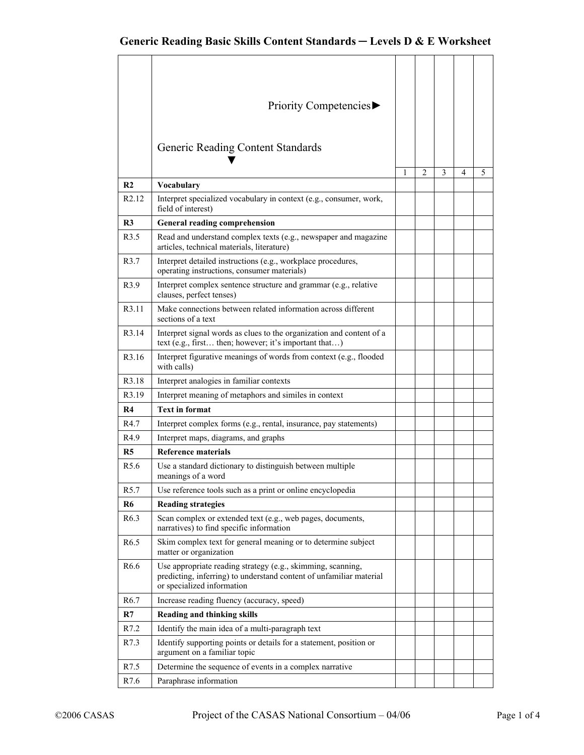## **Generic Reading Basic Skills Content Standards ─ Levels D & E Worksheet**

|                    | Priority Competencies▶                                                                                                                                           |   |                |   |   |   |
|--------------------|------------------------------------------------------------------------------------------------------------------------------------------------------------------|---|----------------|---|---|---|
|                    | Generic Reading Content Standards                                                                                                                                |   |                |   |   |   |
| R <sub>2</sub>     | Vocabulary                                                                                                                                                       | 1 | $\overline{c}$ | 3 | 4 | 5 |
| R <sub>2.12</sub>  | Interpret specialized vocabulary in context (e.g., consumer, work,<br>field of interest)                                                                         |   |                |   |   |   |
| R3                 | <b>General reading comprehension</b>                                                                                                                             |   |                |   |   |   |
| R <sub>3.5</sub>   | Read and understand complex texts (e.g., newspaper and magazine<br>articles, technical materials, literature)                                                    |   |                |   |   |   |
| R <sub>3.7</sub>   | Interpret detailed instructions (e.g., workplace procedures,<br>operating instructions, consumer materials)                                                      |   |                |   |   |   |
| R <sub>3.9</sub>   | Interpret complex sentence structure and grammar (e.g., relative<br>clauses, perfect tenses)                                                                     |   |                |   |   |   |
| R <sub>3.11</sub>  | Make connections between related information across different<br>sections of a text                                                                              |   |                |   |   |   |
| R <sub>3.14</sub>  | Interpret signal words as clues to the organization and content of a<br>text (e.g., first then; however; it's important that)                                    |   |                |   |   |   |
| R <sub>3</sub> .16 | Interpret figurative meanings of words from context (e.g., flooded<br>with calls)                                                                                |   |                |   |   |   |
| R <sub>3.18</sub>  | Interpret analogies in familiar contexts                                                                                                                         |   |                |   |   |   |
| R3.19              | Interpret meaning of metaphors and similes in context                                                                                                            |   |                |   |   |   |
| R4                 | <b>Text in format</b>                                                                                                                                            |   |                |   |   |   |
| R <sub>4.7</sub>   | Interpret complex forms (e.g., rental, insurance, pay statements)                                                                                                |   |                |   |   |   |
| R <sub>4.9</sub>   | Interpret maps, diagrams, and graphs                                                                                                                             |   |                |   |   |   |
| R <sub>5</sub>     | Reference materials                                                                                                                                              |   |                |   |   |   |
| R <sub>5.6</sub>   | Use a standard dictionary to distinguish between multiple<br>meanings of a word                                                                                  |   |                |   |   |   |
| R <sub>5.7</sub>   | Use reference tools such as a print or online encyclopedia                                                                                                       |   |                |   |   |   |
| <b>R6</b>          | <b>Reading strategies</b>                                                                                                                                        |   |                |   |   |   |
| R <sub>6.3</sub>   | Scan complex or extended text (e.g., web pages, documents,<br>narratives) to find specific information                                                           |   |                |   |   |   |
| R <sub>6.5</sub>   | Skim complex text for general meaning or to determine subject<br>matter or organization                                                                          |   |                |   |   |   |
| R <sub>6.6</sub>   | Use appropriate reading strategy (e.g., skimming, scanning,<br>predicting, inferring) to understand content of unfamiliar material<br>or specialized information |   |                |   |   |   |
| R <sub>6.7</sub>   | Increase reading fluency (accuracy, speed)                                                                                                                       |   |                |   |   |   |
| R7                 | Reading and thinking skills                                                                                                                                      |   |                |   |   |   |
| R7.2               | Identify the main idea of a multi-paragraph text                                                                                                                 |   |                |   |   |   |
| R7.3               | Identify supporting points or details for a statement, position or<br>argument on a familiar topic                                                               |   |                |   |   |   |
| R7.5               | Determine the sequence of events in a complex narrative                                                                                                          |   |                |   |   |   |
| R7.6               | Paraphrase information                                                                                                                                           |   |                |   |   |   |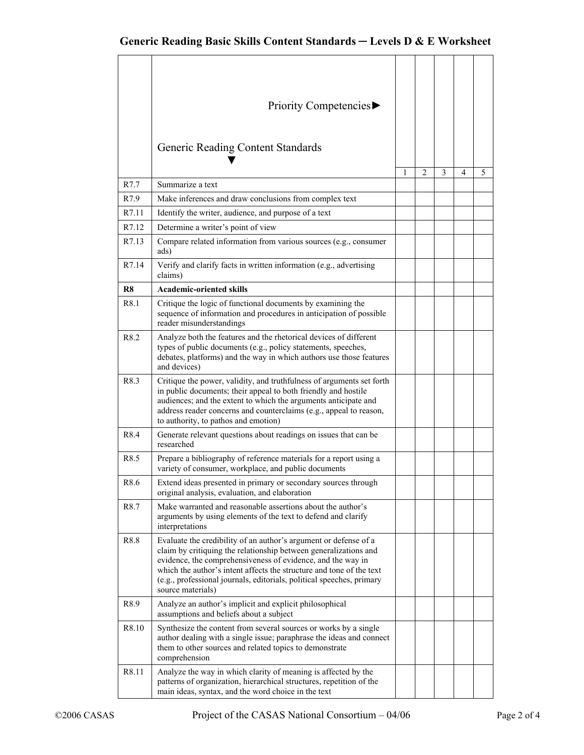|                  | Priority Competencies<br>Generic Reading Content Standards                                                                                                                                                                                                                                                                                                                |                |   |   |   |
|------------------|---------------------------------------------------------------------------------------------------------------------------------------------------------------------------------------------------------------------------------------------------------------------------------------------------------------------------------------------------------------------------|----------------|---|---|---|
| R7.7             | Summarize a text                                                                                                                                                                                                                                                                                                                                                          | $\overline{c}$ | 3 | 4 | 5 |
| R7.9             | Make inferences and draw conclusions from complex text                                                                                                                                                                                                                                                                                                                    |                |   |   |   |
| R7.11            | Identify the writer, audience, and purpose of a text                                                                                                                                                                                                                                                                                                                      |                |   |   |   |
| R7.12            | Determine a writer's point of view                                                                                                                                                                                                                                                                                                                                        |                |   |   |   |
| R7.13            | Compare related information from various sources (e.g., consumer<br>ads)                                                                                                                                                                                                                                                                                                  |                |   |   |   |
| R7.14            | Verify and clarify facts in written information (e.g., advertising<br>claims)                                                                                                                                                                                                                                                                                             |                |   |   |   |
| R8               | <b>Academic-oriented skills</b>                                                                                                                                                                                                                                                                                                                                           |                |   |   |   |
| R8.1             | Critique the logic of functional documents by examining the<br>sequence of information and procedures in anticipation of possible<br>reader misunderstandings                                                                                                                                                                                                             |                |   |   |   |
| R8.2             | Analyze both the features and the rhetorical devices of different<br>types of public documents (e.g., policy statements, speeches,<br>debates, platforms) and the way in which authors use those features<br>and devices)                                                                                                                                                 |                |   |   |   |
| R8.3             | Critique the power, validity, and truthfulness of arguments set forth<br>in public documents; their appeal to both friendly and hostile<br>audiences; and the extent to which the arguments anticipate and<br>address reader concerns and counterclaims (e.g., appeal to reason,<br>to authority, to pathos and emotion)                                                  |                |   |   |   |
| R <sub>8.4</sub> | Generate relevant questions about readings on issues that can be<br>researched                                                                                                                                                                                                                                                                                            |                |   |   |   |
| R <sub>8.5</sub> | Prepare a bibliography of reference materials for a report using a<br>variety of consumer, workplace, and public documents                                                                                                                                                                                                                                                |                |   |   |   |
| R8.6             | Extend ideas presented in primary or secondary sources through<br>original analysis, evaluation, and elaboration                                                                                                                                                                                                                                                          |                |   |   |   |
| R8.7             | Make warranted and reasonable assertions about the author's<br>arguments by using elements of the text to defend and clarify<br>interpretations                                                                                                                                                                                                                           |                |   |   |   |
| R8.8             | Evaluate the credibility of an author's argument or defense of a<br>claim by critiquing the relationship between generalizations and<br>evidence, the comprehensiveness of evidence, and the way in<br>which the author's intent affects the structure and tone of the text<br>(e.g., professional journals, editorials, political speeches, primary<br>source materials) |                |   |   |   |
| R8.9             | Analyze an author's implicit and explicit philosophical<br>assumptions and beliefs about a subject                                                                                                                                                                                                                                                                        |                |   |   |   |
| R8.10            | Synthesize the content from several sources or works by a single<br>author dealing with a single issue; paraphrase the ideas and connect<br>them to other sources and related topics to demonstrate<br>comprehension                                                                                                                                                      |                |   |   |   |
| R8.11            | Analyze the way in which clarity of meaning is affected by the<br>patterns of organization, hierarchical structures, repetition of the<br>main ideas, syntax, and the word choice in the text                                                                                                                                                                             |                |   |   |   |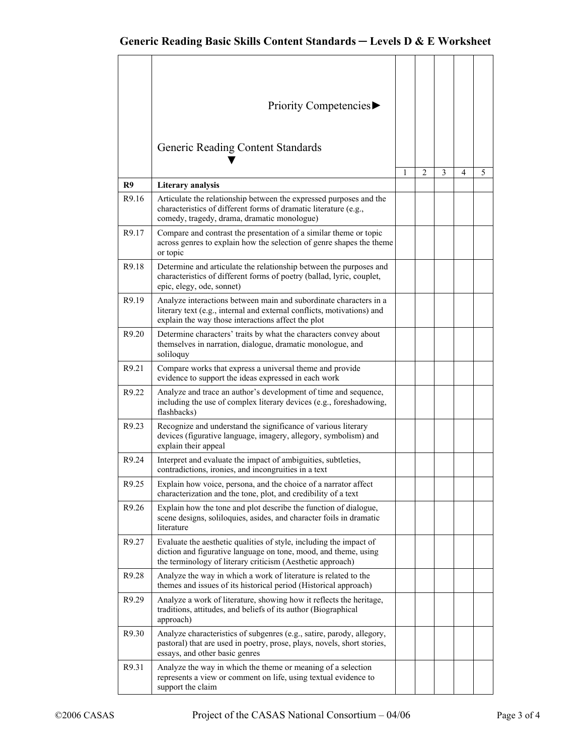## **Generic Reading Basic Skills Content Standards ─ Levels D & E Worksheet**

|       | Priority Competencies<br><b>Generic Reading Content Standards</b>                                                                                                                                   | 1 | 2 | 3 | 4 | 5 |
|-------|-----------------------------------------------------------------------------------------------------------------------------------------------------------------------------------------------------|---|---|---|---|---|
| R9    | <b>Literary analysis</b>                                                                                                                                                                            |   |   |   |   |   |
| R9.16 | Articulate the relationship between the expressed purposes and the<br>characteristics of different forms of dramatic literature (e.g.,<br>comedy, tragedy, drama, dramatic monologue)               |   |   |   |   |   |
| R9.17 | Compare and contrast the presentation of a similar theme or topic<br>across genres to explain how the selection of genre shapes the theme<br>or topic                                               |   |   |   |   |   |
| R9.18 | Determine and articulate the relationship between the purposes and<br>characteristics of different forms of poetry (ballad, lyric, couplet,<br>epic, elegy, ode, sonnet)                            |   |   |   |   |   |
| R9.19 | Analyze interactions between main and subordinate characters in a<br>literary text (e.g., internal and external conflicts, motivations) and<br>explain the way those interactions affect the plot   |   |   |   |   |   |
| R9.20 | Determine characters' traits by what the characters convey about<br>themselves in narration, dialogue, dramatic monologue, and<br>soliloquy                                                         |   |   |   |   |   |
| R9.21 | Compare works that express a universal theme and provide<br>evidence to support the ideas expressed in each work                                                                                    |   |   |   |   |   |
| R9.22 | Analyze and trace an author's development of time and sequence,<br>including the use of complex literary devices (e.g., foreshadowing,<br>flashbacks)                                               |   |   |   |   |   |
| R9.23 | Recognize and understand the significance of various literary<br>devices (figurative language, imagery, allegory, symbolism) and<br>explain their appeal                                            |   |   |   |   |   |
| R9.24 | Interpret and evaluate the impact of ambiguities, subtleties,<br>contradictions, ironies, and incongruities in a text                                                                               |   |   |   |   |   |
| R9.25 | Explain how voice, persona, and the choice of a narrator affect<br>characterization and the tone, plot, and credibility of a text                                                                   |   |   |   |   |   |
| R9.26 | Explain how the tone and plot describe the function of dialogue,<br>scene designs, soliloquies, asides, and character foils in dramatic<br>literature                                               |   |   |   |   |   |
| R9.27 | Evaluate the aesthetic qualities of style, including the impact of<br>diction and figurative language on tone, mood, and theme, using<br>the terminology of literary criticism (Aesthetic approach) |   |   |   |   |   |
| R9.28 | Analyze the way in which a work of literature is related to the<br>themes and issues of its historical period (Historical approach)                                                                 |   |   |   |   |   |
| R9.29 | Analyze a work of literature, showing how it reflects the heritage,<br>traditions, attitudes, and beliefs of its author (Biographical<br>approach)                                                  |   |   |   |   |   |
| R9.30 | Analyze characteristics of subgenres (e.g., satire, parody, allegory,<br>pastoral) that are used in poetry, prose, plays, novels, short stories,<br>essays, and other basic genres                  |   |   |   |   |   |
| R9.31 | Analyze the way in which the theme or meaning of a selection<br>represents a view or comment on life, using textual evidence to<br>support the claim                                                |   |   |   |   |   |